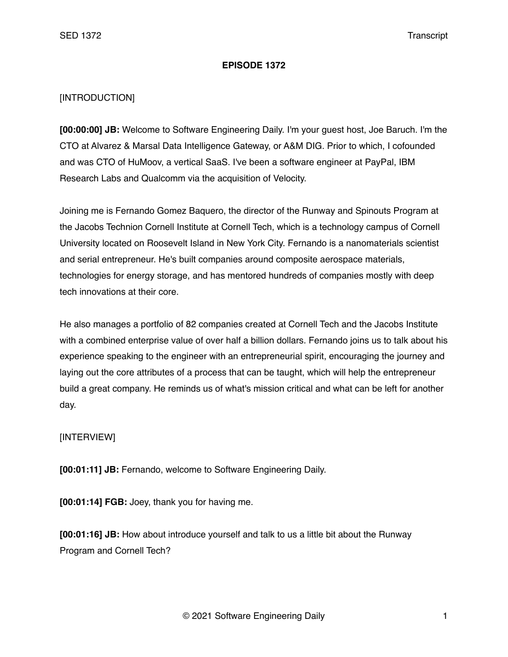## **EPISODE 1372**

## [INTRODUCTION]

**[00:00:00] JB:** Welcome to Software Engineering Daily. I'm your guest host, Joe Baruch. I'm the CTO at Alvarez & Marsal Data Intelligence Gateway, or A&M DIG. Prior to which, I cofounded and was CTO of HuMoov, a vertical SaaS. I've been a software engineer at PayPal, IBM Research Labs and Qualcomm via the acquisition of Velocity.

Joining me is Fernando Gomez Baquero, the director of the Runway and Spinouts Program at the Jacobs Technion Cornell Institute at Cornell Tech, which is a technology campus of Cornell University located on Roosevelt Island in New York City. Fernando is a nanomaterials scientist and serial entrepreneur. He's built companies around composite aerospace materials, technologies for energy storage, and has mentored hundreds of companies mostly with deep tech innovations at their core.

He also manages a portfolio of 82 companies created at Cornell Tech and the Jacobs Institute with a combined enterprise value of over half a billion dollars. Fernando joins us to talk about his experience speaking to the engineer with an entrepreneurial spirit, encouraging the journey and laying out the core attributes of a process that can be taught, which will help the entrepreneur build a great company. He reminds us of what's mission critical and what can be left for another day.

## [INTERVIEW]

**[00:01:11] JB:** Fernando, welcome to Software Engineering Daily.

**[00:01:14] FGB:** Joey, thank you for having me.

**[00:01:16] JB:** How about introduce yourself and talk to us a little bit about the Runway Program and Cornell Tech?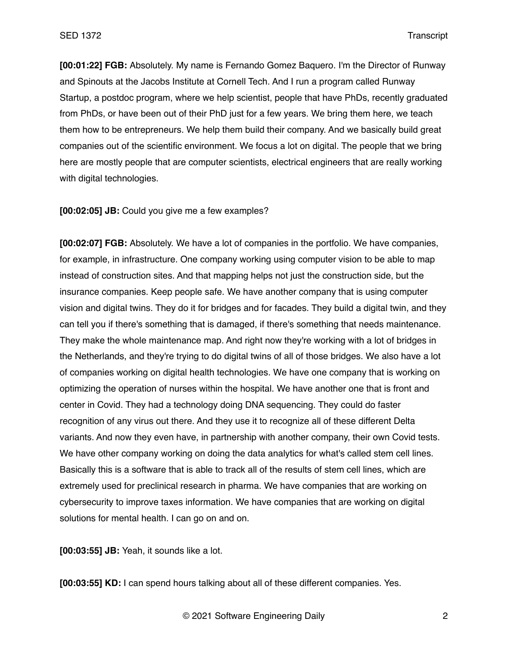**[00:01:22] FGB:** Absolutely. My name is Fernando Gomez Baquero. I'm the Director of Runway and Spinouts at the Jacobs Institute at Cornell Tech. And I run a program called Runway Startup, a postdoc program, where we help scientist, people that have PhDs, recently graduated from PhDs, or have been out of their PhD just for a few years. We bring them here, we teach them how to be entrepreneurs. We help them build their company. And we basically build great companies out of the scientific environment. We focus a lot on digital. The people that we bring here are mostly people that are computer scientists, electrical engineers that are really working with digital technologies.

**[00:02:05] JB:** Could you give me a few examples?

**[00:02:07] FGB:** Absolutely. We have a lot of companies in the portfolio. We have companies, for example, in infrastructure. One company working using computer vision to be able to map instead of construction sites. And that mapping helps not just the construction side, but the insurance companies. Keep people safe. We have another company that is using computer vision and digital twins. They do it for bridges and for facades. They build a digital twin, and they can tell you if there's something that is damaged, if there's something that needs maintenance. They make the whole maintenance map. And right now they're working with a lot of bridges in the Netherlands, and they're trying to do digital twins of all of those bridges. We also have a lot of companies working on digital health technologies. We have one company that is working on optimizing the operation of nurses within the hospital. We have another one that is front and center in Covid. They had a technology doing DNA sequencing. They could do faster recognition of any virus out there. And they use it to recognize all of these different Delta variants. And now they even have, in partnership with another company, their own Covid tests. We have other company working on doing the data analytics for what's called stem cell lines. Basically this is a software that is able to track all of the results of stem cell lines, which are extremely used for preclinical research in pharma. We have companies that are working on cybersecurity to improve taxes information. We have companies that are working on digital solutions for mental health. I can go on and on.

**[00:03:55] JB:** Yeah, it sounds like a lot.

**[00:03:55] KD:** I can spend hours talking about all of these different companies. Yes.

© 2021 Software Engineering Daily 2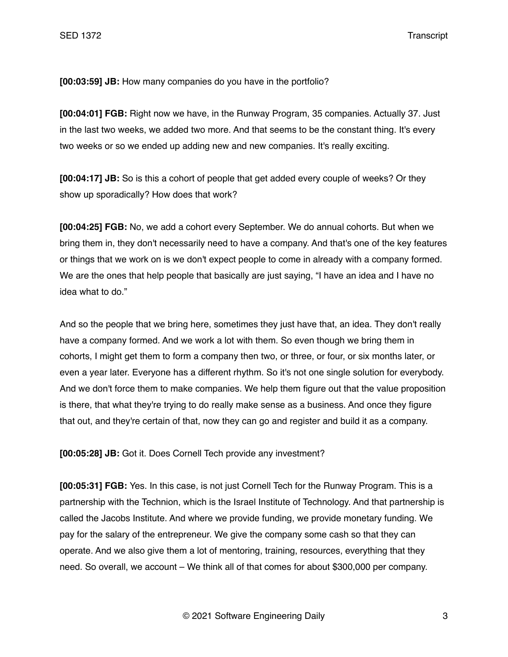**[00:03:59] JB:** How many companies do you have in the portfolio?

**[00:04:01] FGB:** Right now we have, in the Runway Program, 35 companies. Actually 37. Just in the last two weeks, we added two more. And that seems to be the constant thing. It's every two weeks or so we ended up adding new and new companies. It's really exciting.

**[00:04:17] JB:** So is this a cohort of people that get added every couple of weeks? Or they show up sporadically? How does that work?

**[00:04:25] FGB:** No, we add a cohort every September. We do annual cohorts. But when we bring them in, they don't necessarily need to have a company. And that's one of the key features or things that we work on is we don't expect people to come in already with a company formed. We are the ones that help people that basically are just saying, "I have an idea and I have no idea what to do."

And so the people that we bring here, sometimes they just have that, an idea. They don't really have a company formed. And we work a lot with them. So even though we bring them in cohorts, I might get them to form a company then two, or three, or four, or six months later, or even a year later. Everyone has a different rhythm. So it's not one single solution for everybody. And we don't force them to make companies. We help them figure out that the value proposition is there, that what they're trying to do really make sense as a business. And once they figure that out, and they're certain of that, now they can go and register and build it as a company.

**[00:05:28] JB:** Got it. Does Cornell Tech provide any investment?

**[00:05:31] FGB:** Yes. In this case, is not just Cornell Tech for the Runway Program. This is a partnership with the Technion, which is the Israel Institute of Technology. And that partnership is called the Jacobs Institute. And where we provide funding, we provide monetary funding. We pay for the salary of the entrepreneur. We give the company some cash so that they can operate. And we also give them a lot of mentoring, training, resources, everything that they need. So overall, we account – We think all of that comes for about \$300,000 per company.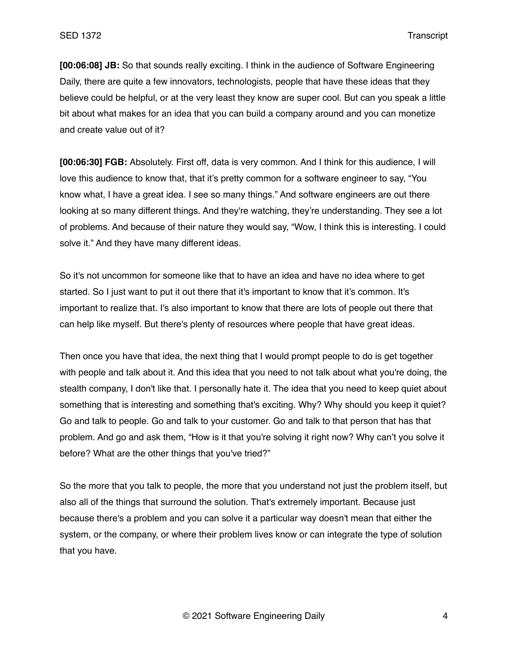**[00:06:08] JB:** So that sounds really exciting. I think in the audience of Software Engineering Daily, there are quite a few innovators, technologists, people that have these ideas that they believe could be helpful, or at the very least they know are super cool. But can you speak a little bit about what makes for an idea that you can build a company around and you can monetize and create value out of it?

**[00:06:30] FGB:** Absolutely. First off, data is very common. And I think for this audience, I will love this audience to know that, that it's pretty common for a software engineer to say, "You know what, I have a great idea. I see so many things." And software engineers are out there looking at so many different things. And they're watching, they're understanding. They see a lot of problems. And because of their nature they would say, "Wow, I think this is interesting. I could solve it." And they have many different ideas.

So it's not uncommon for someone like that to have an idea and have no idea where to get started. So I just want to put it out there that it's important to know that it's common. It's important to realize that. I's also important to know that there are lots of people out there that can help like myself. But there's plenty of resources where people that have great ideas.

Then once you have that idea, the next thing that I would prompt people to do is get together with people and talk about it. And this idea that you need to not talk about what you're doing, the stealth company, I don't like that. I personally hate it. The idea that you need to keep quiet about something that is interesting and something that's exciting. Why? Why should you keep it quiet? Go and talk to people. Go and talk to your customer. Go and talk to that person that has that problem. And go and ask them, "How is it that you're solving it right now? Why can't you solve it before? What are the other things that you've tried?"

So the more that you talk to people, the more that you understand not just the problem itself, but also all of the things that surround the solution. That's extremely important. Because just because there's a problem and you can solve it a particular way doesn't mean that either the system, or the company, or where their problem lives know or can integrate the type of solution that you have.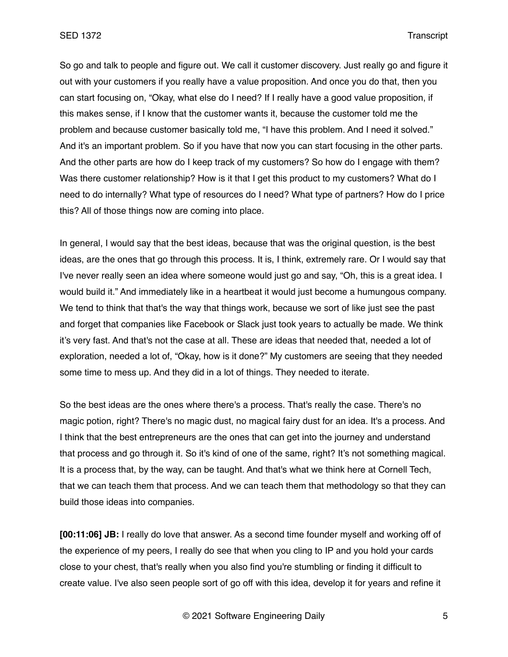So go and talk to people and figure out. We call it customer discovery. Just really go and figure it out with your customers if you really have a value proposition. And once you do that, then you can start focusing on, "Okay, what else do I need? If I really have a good value proposition, if this makes sense, if I know that the customer wants it, because the customer told me the problem and because customer basically told me, "I have this problem. And I need it solved." And it's an important problem. So if you have that now you can start focusing in the other parts. And the other parts are how do I keep track of my customers? So how do I engage with them? Was there customer relationship? How is it that I get this product to my customers? What do I need to do internally? What type of resources do I need? What type of partners? How do I price this? All of those things now are coming into place.

In general, I would say that the best ideas, because that was the original question, is the best ideas, are the ones that go through this process. It is, I think, extremely rare. Or I would say that I've never really seen an idea where someone would just go and say, "Oh, this is a great idea. I would build it." And immediately like in a heartbeat it would just become a humungous company. We tend to think that that's the way that things work, because we sort of like just see the past and forget that companies like Facebook or Slack just took years to actually be made. We think it's very fast. And that's not the case at all. These are ideas that needed that, needed a lot of exploration, needed a lot of, "Okay, how is it done?" My customers are seeing that they needed some time to mess up. And they did in a lot of things. They needed to iterate.

So the best ideas are the ones where there's a process. That's really the case. There's no magic potion, right? There's no magic dust, no magical fairy dust for an idea. It's a process. And I think that the best entrepreneurs are the ones that can get into the journey and understand that process and go through it. So it's kind of one of the same, right? It's not something magical. It is a process that, by the way, can be taught. And that's what we think here at Cornell Tech, that we can teach them that process. And we can teach them that methodology so that they can build those ideas into companies.

**[00:11:06] JB:** I really do love that answer. As a second time founder myself and working off of the experience of my peers, I really do see that when you cling to IP and you hold your cards close to your chest, that's really when you also find you're stumbling or finding it difficult to create value. I've also seen people sort of go off with this idea, develop it for years and refine it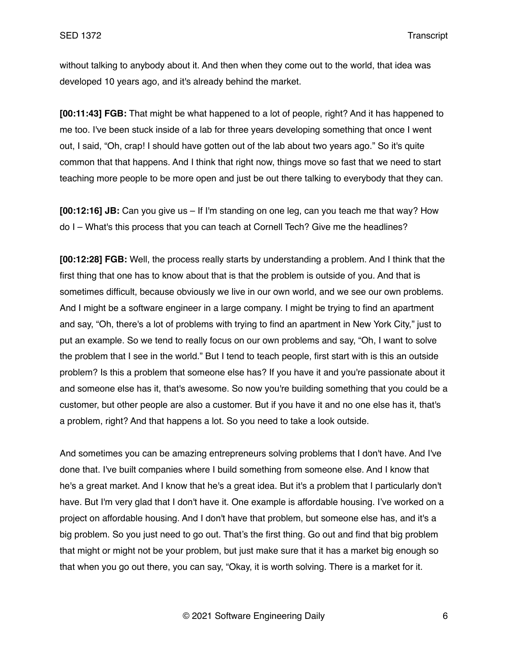without talking to anybody about it. And then when they come out to the world, that idea was developed 10 years ago, and it's already behind the market.

**[00:11:43] FGB:** That might be what happened to a lot of people, right? And it has happened to me too. I've been stuck inside of a lab for three years developing something that once I went out, I said, "Oh, crap! I should have gotten out of the lab about two years ago." So it's quite common that that happens. And I think that right now, things move so fast that we need to start teaching more people to be more open and just be out there talking to everybody that they can.

**[00:12:16] JB:** Can you give us – If I'm standing on one leg, can you teach me that way? How do I – What's this process that you can teach at Cornell Tech? Give me the headlines?

**[00:12:28] FGB:** Well, the process really starts by understanding a problem. And I think that the first thing that one has to know about that is that the problem is outside of you. And that is sometimes difficult, because obviously we live in our own world, and we see our own problems. And I might be a software engineer in a large company. I might be trying to find an apartment and say, "Oh, there's a lot of problems with trying to find an apartment in New York City," just to put an example. So we tend to really focus on our own problems and say, "Oh, I want to solve the problem that I see in the world." But I tend to teach people, first start with is this an outside problem? Is this a problem that someone else has? If you have it and you're passionate about it and someone else has it, that's awesome. So now you're building something that you could be a customer, but other people are also a customer. But if you have it and no one else has it, that's a problem, right? And that happens a lot. So you need to take a look outside.

And sometimes you can be amazing entrepreneurs solving problems that I don't have. And I've done that. I've built companies where I build something from someone else. And I know that he's a great market. And I know that he's a great idea. But it's a problem that I particularly don't have. But I'm very glad that I don't have it. One example is affordable housing. I've worked on a project on affordable housing. And I don't have that problem, but someone else has, and it's a big problem. So you just need to go out. That's the first thing. Go out and find that big problem that might or might not be your problem, but just make sure that it has a market big enough so that when you go out there, you can say, "Okay, it is worth solving. There is a market for it.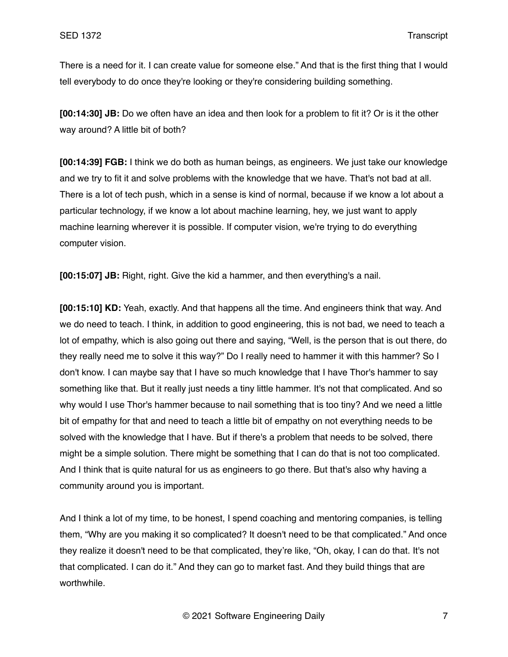There is a need for it. I can create value for someone else." And that is the first thing that I would tell everybody to do once they're looking or they're considering building something.

**[00:14:30] JB:** Do we often have an idea and then look for a problem to fit it? Or is it the other way around? A little bit of both?

**[00:14:39] FGB:** I think we do both as human beings, as engineers. We just take our knowledge and we try to fit it and solve problems with the knowledge that we have. That's not bad at all. There is a lot of tech push, which in a sense is kind of normal, because if we know a lot about a particular technology, if we know a lot about machine learning, hey, we just want to apply machine learning wherever it is possible. If computer vision, we're trying to do everything computer vision.

**[00:15:07] JB:** Right, right. Give the kid a hammer, and then everything's a nail.

**[00:15:10] KD:** Yeah, exactly. And that happens all the time. And engineers think that way. And we do need to teach. I think, in addition to good engineering, this is not bad, we need to teach a lot of empathy, which is also going out there and saying, "Well, is the person that is out there, do they really need me to solve it this way?" Do I really need to hammer it with this hammer? So I don't know. I can maybe say that I have so much knowledge that I have Thor's hammer to say something like that. But it really just needs a tiny little hammer. It's not that complicated. And so why would I use Thor's hammer because to nail something that is too tiny? And we need a little bit of empathy for that and need to teach a little bit of empathy on not everything needs to be solved with the knowledge that I have. But if there's a problem that needs to be solved, there might be a simple solution. There might be something that I can do that is not too complicated. And I think that is quite natural for us as engineers to go there. But that's also why having a community around you is important.

And I think a lot of my time, to be honest, I spend coaching and mentoring companies, is telling them, "Why are you making it so complicated? It doesn't need to be that complicated." And once they realize it doesn't need to be that complicated, they're like, "Oh, okay, I can do that. It's not that complicated. I can do it." And they can go to market fast. And they build things that are worthwhile.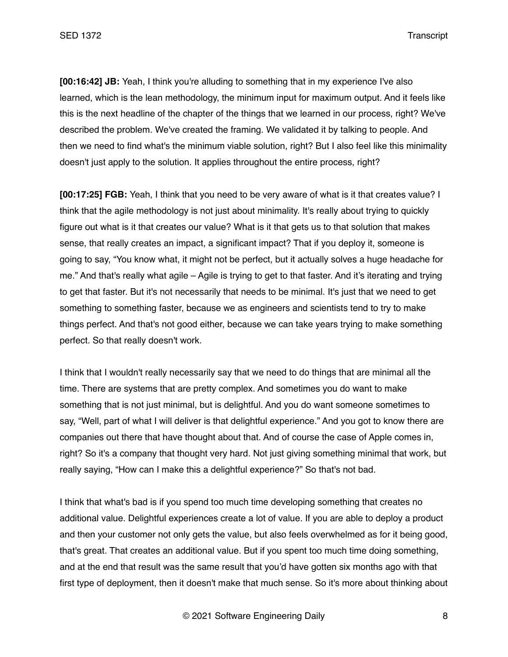**[00:16:42] JB:** Yeah, I think you're alluding to something that in my experience I've also learned, which is the lean methodology, the minimum input for maximum output. And it feels like this is the next headline of the chapter of the things that we learned in our process, right? We've described the problem. We've created the framing. We validated it by talking to people. And then we need to find what's the minimum viable solution, right? But I also feel like this minimality doesn't just apply to the solution. It applies throughout the entire process, right?

**[00:17:25] FGB:** Yeah, I think that you need to be very aware of what is it that creates value? I think that the agile methodology is not just about minimality. It's really about trying to quickly figure out what is it that creates our value? What is it that gets us to that solution that makes sense, that really creates an impact, a significant impact? That if you deploy it, someone is going to say, "You know what, it might not be perfect, but it actually solves a huge headache for me." And that's really what agile – Agile is trying to get to that faster. And it's iterating and trying to get that faster. But it's not necessarily that needs to be minimal. It's just that we need to get something to something faster, because we as engineers and scientists tend to try to make things perfect. And that's not good either, because we can take years trying to make something perfect. So that really doesn't work.

I think that I wouldn't really necessarily say that we need to do things that are minimal all the time. There are systems that are pretty complex. And sometimes you do want to make something that is not just minimal, but is delightful. And you do want someone sometimes to say, "Well, part of what I will deliver is that delightful experience." And you got to know there are companies out there that have thought about that. And of course the case of Apple comes in, right? So it's a company that thought very hard. Not just giving something minimal that work, but really saying, "How can I make this a delightful experience?" So that's not bad.

I think that what's bad is if you spend too much time developing something that creates no additional value. Delightful experiences create a lot of value. If you are able to deploy a product and then your customer not only gets the value, but also feels overwhelmed as for it being good, that's great. That creates an additional value. But if you spent too much time doing something, and at the end that result was the same result that you'd have gotten six months ago with that first type of deployment, then it doesn't make that much sense. So it's more about thinking about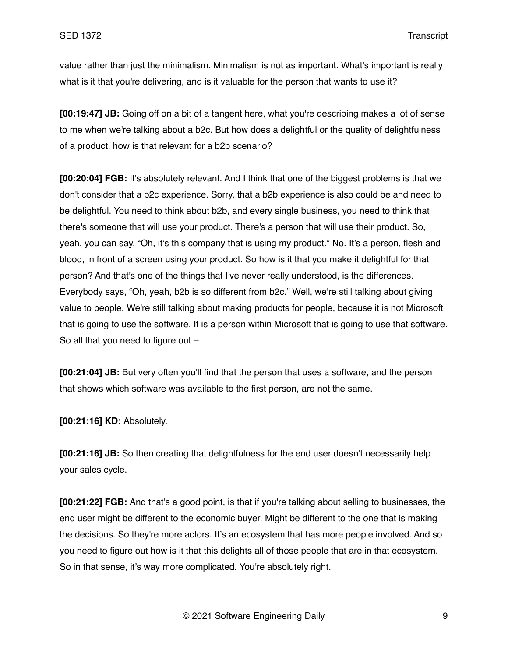value rather than just the minimalism. Minimalism is not as important. What's important is really what is it that you're delivering, and is it valuable for the person that wants to use it?

**[00:19:47] JB:** Going off on a bit of a tangent here, what you're describing makes a lot of sense to me when we're talking about a b2c. But how does a delightful or the quality of delightfulness of a product, how is that relevant for a b2b scenario?

**[00:20:04] FGB:** It's absolutely relevant. And I think that one of the biggest problems is that we don't consider that a b2c experience. Sorry, that a b2b experience is also could be and need to be delightful. You need to think about b2b, and every single business, you need to think that there's someone that will use your product. There's a person that will use their product. So, yeah, you can say, "Oh, it's this company that is using my product." No. It's a person, flesh and blood, in front of a screen using your product. So how is it that you make it delightful for that person? And that's one of the things that I've never really understood, is the differences. Everybody says, "Oh, yeah, b2b is so different from b2c." Well, we're still talking about giving value to people. We're still talking about making products for people, because it is not Microsoft that is going to use the software. It is a person within Microsoft that is going to use that software. So all that you need to figure out –

**[00:21:04] JB:** But very often you'll find that the person that uses a software, and the person that shows which software was available to the first person, are not the same.

**[00:21:16] KD:** Absolutely.

**[00:21:16] JB:** So then creating that delightfulness for the end user doesn't necessarily help your sales cycle.

**[00:21:22] FGB:** And that's a good point, is that if you're talking about selling to businesses, the end user might be different to the economic buyer. Might be different to the one that is making the decisions. So they're more actors. It's an ecosystem that has more people involved. And so you need to figure out how is it that this delights all of those people that are in that ecosystem. So in that sense, it's way more complicated. You're absolutely right.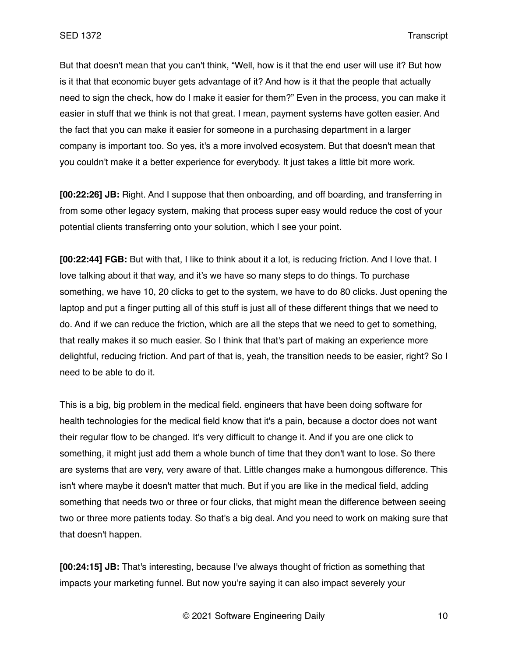But that doesn't mean that you can't think, "Well, how is it that the end user will use it? But how is it that that economic buyer gets advantage of it? And how is it that the people that actually need to sign the check, how do I make it easier for them?" Even in the process, you can make it easier in stuff that we think is not that great. I mean, payment systems have gotten easier. And the fact that you can make it easier for someone in a purchasing department in a larger company is important too. So yes, it's a more involved ecosystem. But that doesn't mean that you couldn't make it a better experience for everybody. It just takes a little bit more work.

**[00:22:26] JB:** Right. And I suppose that then onboarding, and off boarding, and transferring in from some other legacy system, making that process super easy would reduce the cost of your potential clients transferring onto your solution, which I see your point.

**[00:22:44] FGB:** But with that, I like to think about it a lot, is reducing friction. And I love that. I love talking about it that way, and it's we have so many steps to do things. To purchase something, we have 10, 20 clicks to get to the system, we have to do 80 clicks. Just opening the laptop and put a finger putting all of this stuff is just all of these different things that we need to do. And if we can reduce the friction, which are all the steps that we need to get to something, that really makes it so much easier. So I think that that's part of making an experience more delightful, reducing friction. And part of that is, yeah, the transition needs to be easier, right? So I need to be able to do it.

This is a big, big problem in the medical field. engineers that have been doing software for health technologies for the medical field know that it's a pain, because a doctor does not want their regular flow to be changed. It's very difficult to change it. And if you are one click to something, it might just add them a whole bunch of time that they don't want to lose. So there are systems that are very, very aware of that. Little changes make a humongous difference. This isn't where maybe it doesn't matter that much. But if you are like in the medical field, adding something that needs two or three or four clicks, that might mean the difference between seeing two or three more patients today. So that's a big deal. And you need to work on making sure that that doesn't happen.

**[00:24:15] JB:** That's interesting, because I've always thought of friction as something that impacts your marketing funnel. But now you're saying it can also impact severely your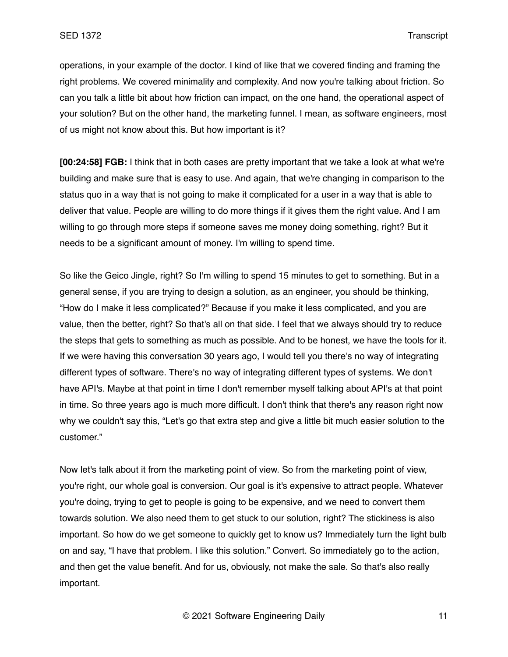operations, in your example of the doctor. I kind of like that we covered finding and framing the right problems. We covered minimality and complexity. And now you're talking about friction. So can you talk a little bit about how friction can impact, on the one hand, the operational aspect of your solution? But on the other hand, the marketing funnel. I mean, as software engineers, most of us might not know about this. But how important is it?

**[00:24:58] FGB:** I think that in both cases are pretty important that we take a look at what we're building and make sure that is easy to use. And again, that we're changing in comparison to the status quo in a way that is not going to make it complicated for a user in a way that is able to deliver that value. People are willing to do more things if it gives them the right value. And I am willing to go through more steps if someone saves me money doing something, right? But it needs to be a significant amount of money. I'm willing to spend time.

So like the Geico Jingle, right? So I'm willing to spend 15 minutes to get to something. But in a general sense, if you are trying to design a solution, as an engineer, you should be thinking, "How do I make it less complicated?" Because if you make it less complicated, and you are value, then the better, right? So that's all on that side. I feel that we always should try to reduce the steps that gets to something as much as possible. And to be honest, we have the tools for it. If we were having this conversation 30 years ago, I would tell you there's no way of integrating different types of software. There's no way of integrating different types of systems. We don't have API's. Maybe at that point in time I don't remember myself talking about API's at that point in time. So three years ago is much more difficult. I don't think that there's any reason right now why we couldn't say this, "Let's go that extra step and give a little bit much easier solution to the customer."

Now let's talk about it from the marketing point of view. So from the marketing point of view, you're right, our whole goal is conversion. Our goal is it's expensive to attract people. Whatever you're doing, trying to get to people is going to be expensive, and we need to convert them towards solution. We also need them to get stuck to our solution, right? The stickiness is also important. So how do we get someone to quickly get to know us? Immediately turn the light bulb on and say, "I have that problem. I like this solution." Convert. So immediately go to the action, and then get the value benefit. And for us, obviously, not make the sale. So that's also really important.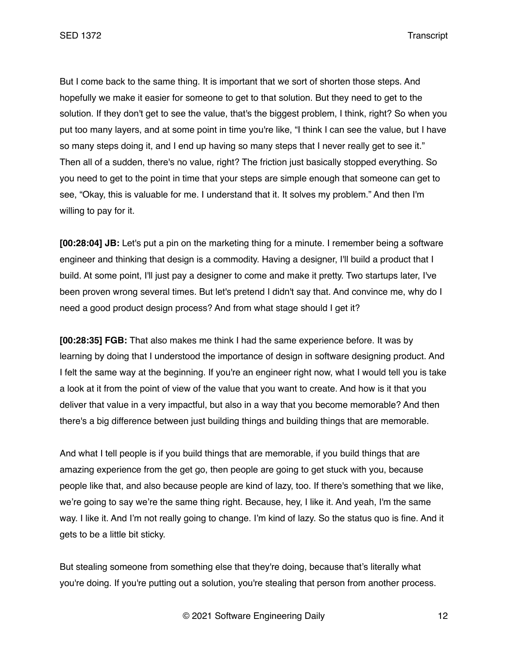But I come back to the same thing. It is important that we sort of shorten those steps. And hopefully we make it easier for someone to get to that solution. But they need to get to the solution. If they don't get to see the value, that's the biggest problem, I think, right? So when you put too many layers, and at some point in time you're like, "I think I can see the value, but I have so many steps doing it, and I end up having so many steps that I never really get to see it." Then all of a sudden, there's no value, right? The friction just basically stopped everything. So you need to get to the point in time that your steps are simple enough that someone can get to see, "Okay, this is valuable for me. I understand that it. It solves my problem." And then I'm willing to pay for it.

**[00:28:04] JB:** Let's put a pin on the marketing thing for a minute. I remember being a software engineer and thinking that design is a commodity. Having a designer, I'll build a product that I build. At some point, I'll just pay a designer to come and make it pretty. Two startups later, I've been proven wrong several times. But let's pretend I didn't say that. And convince me, why do I need a good product design process? And from what stage should I get it?

**[00:28:35] FGB:** That also makes me think I had the same experience before. It was by learning by doing that I understood the importance of design in software designing product. And I felt the same way at the beginning. If you're an engineer right now, what I would tell you is take a look at it from the point of view of the value that you want to create. And how is it that you deliver that value in a very impactful, but also in a way that you become memorable? And then there's a big difference between just building things and building things that are memorable.

And what I tell people is if you build things that are memorable, if you build things that are amazing experience from the get go, then people are going to get stuck with you, because people like that, and also because people are kind of lazy, too. If there's something that we like, we're going to say we're the same thing right. Because, hey, I like it. And yeah, I'm the same way. I like it. And I'm not really going to change. I'm kind of lazy. So the status quo is fine. And it gets to be a little bit sticky.

But stealing someone from something else that they're doing, because that's literally what you're doing. If you're putting out a solution, you're stealing that person from another process.

© 2021 Software Engineering Daily 12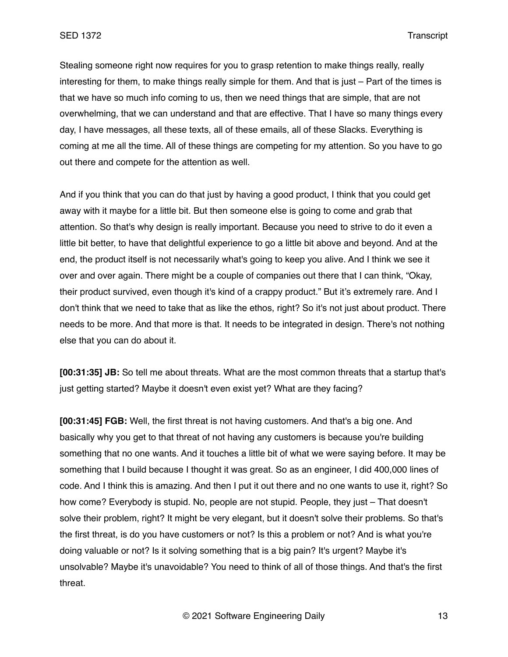Stealing someone right now requires for you to grasp retention to make things really, really interesting for them, to make things really simple for them. And that is just – Part of the times is that we have so much info coming to us, then we need things that are simple, that are not overwhelming, that we can understand and that are effective. That I have so many things every day, I have messages, all these texts, all of these emails, all of these Slacks. Everything is coming at me all the time. All of these things are competing for my attention. So you have to go out there and compete for the attention as well.

And if you think that you can do that just by having a good product, I think that you could get away with it maybe for a little bit. But then someone else is going to come and grab that attention. So that's why design is really important. Because you need to strive to do it even a little bit better, to have that delightful experience to go a little bit above and beyond. And at the end, the product itself is not necessarily what's going to keep you alive. And I think we see it over and over again. There might be a couple of companies out there that I can think, "Okay, their product survived, even though it's kind of a crappy product." But it's extremely rare. And I don't think that we need to take that as like the ethos, right? So it's not just about product. There needs to be more. And that more is that. It needs to be integrated in design. There's not nothing else that you can do about it.

**[00:31:35] JB:** So tell me about threats. What are the most common threats that a startup that's just getting started? Maybe it doesn't even exist yet? What are they facing?

**[00:31:45] FGB:** Well, the first threat is not having customers. And that's a big one. And basically why you get to that threat of not having any customers is because you're building something that no one wants. And it touches a little bit of what we were saying before. It may be something that I build because I thought it was great. So as an engineer, I did 400,000 lines of code. And I think this is amazing. And then I put it out there and no one wants to use it, right? So how come? Everybody is stupid. No, people are not stupid. People, they just – That doesn't solve their problem, right? It might be very elegant, but it doesn't solve their problems. So that's the first threat, is do you have customers or not? Is this a problem or not? And is what you're doing valuable or not? Is it solving something that is a big pain? It's urgent? Maybe it's unsolvable? Maybe it's unavoidable? You need to think of all of those things. And that's the first threat.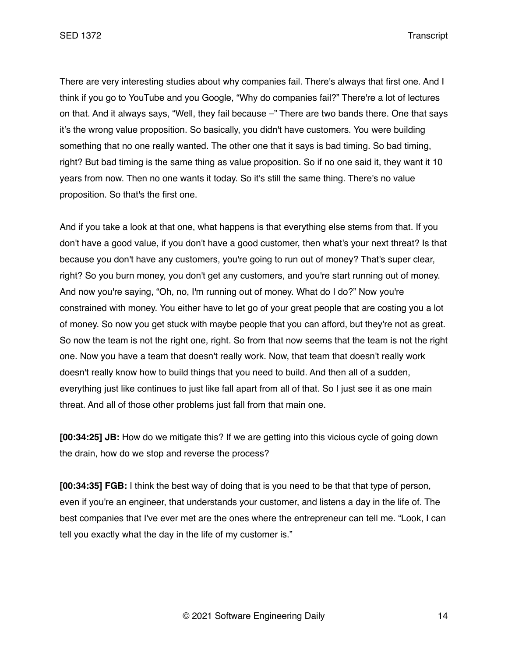SED 1372 Transcript

There are very interesting studies about why companies fail. There's always that first one. And I think if you go to YouTube and you Google, "Why do companies fail?" There're a lot of lectures on that. And it always says, "Well, they fail because –" There are two bands there. One that says it's the wrong value proposition. So basically, you didn't have customers. You were building something that no one really wanted. The other one that it says is bad timing. So bad timing, right? But bad timing is the same thing as value proposition. So if no one said it, they want it 10 years from now. Then no one wants it today. So it's still the same thing. There's no value proposition. So that's the first one.

And if you take a look at that one, what happens is that everything else stems from that. If you don't have a good value, if you don't have a good customer, then what's your next threat? Is that because you don't have any customers, you're going to run out of money? That's super clear, right? So you burn money, you don't get any customers, and you're start running out of money. And now you're saying, "Oh, no, I'm running out of money. What do I do?" Now you're constrained with money. You either have to let go of your great people that are costing you a lot of money. So now you get stuck with maybe people that you can afford, but they're not as great. So now the team is not the right one, right. So from that now seems that the team is not the right one. Now you have a team that doesn't really work. Now, that team that doesn't really work doesn't really know how to build things that you need to build. And then all of a sudden, everything just like continues to just like fall apart from all of that. So I just see it as one main threat. And all of those other problems just fall from that main one.

**[00:34:25] JB:** How do we mitigate this? If we are getting into this vicious cycle of going down the drain, how do we stop and reverse the process?

**[00:34:35] FGB:** I think the best way of doing that is you need to be that that type of person, even if you're an engineer, that understands your customer, and listens a day in the life of. The best companies that I've ever met are the ones where the entrepreneur can tell me. "Look, I can tell you exactly what the day in the life of my customer is."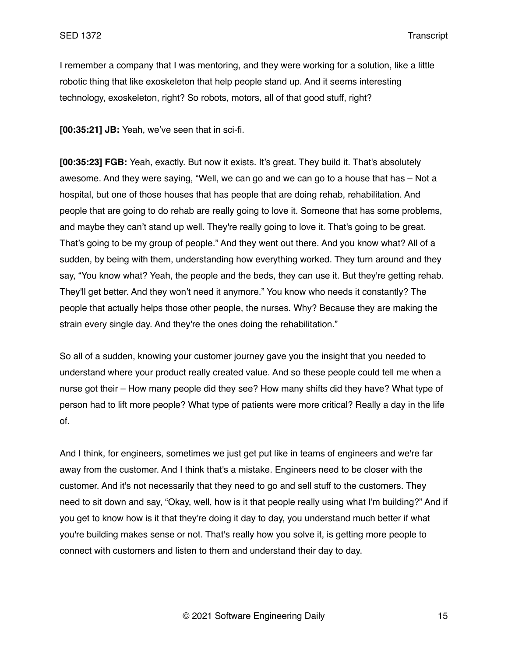I remember a company that I was mentoring, and they were working for a solution, like a little robotic thing that like exoskeleton that help people stand up. And it seems interesting technology, exoskeleton, right? So robots, motors, all of that good stuff, right?

**[00:35:21] JB:** Yeah, we've seen that in sci-fi.

**[00:35:23] FGB:** Yeah, exactly. But now it exists. It's great. They build it. That's absolutely awesome. And they were saying, "Well, we can go and we can go to a house that has – Not a hospital, but one of those houses that has people that are doing rehab, rehabilitation. And people that are going to do rehab are really going to love it. Someone that has some problems, and maybe they can't stand up well. They're really going to love it. That's going to be great. That's going to be my group of people." And they went out there. And you know what? All of a sudden, by being with them, understanding how everything worked. They turn around and they say, "You know what? Yeah, the people and the beds, they can use it. But they're getting rehab. They'll get better. And they won't need it anymore." You know who needs it constantly? The people that actually helps those other people, the nurses. Why? Because they are making the strain every single day. And they're the ones doing the rehabilitation."

So all of a sudden, knowing your customer journey gave you the insight that you needed to understand where your product really created value. And so these people could tell me when a nurse got their – How many people did they see? How many shifts did they have? What type of person had to lift more people? What type of patients were more critical? Really a day in the life of.

And I think, for engineers, sometimes we just get put like in teams of engineers and we're far away from the customer. And I think that's a mistake. Engineers need to be closer with the customer. And it's not necessarily that they need to go and sell stuff to the customers. They need to sit down and say, "Okay, well, how is it that people really using what I'm building?" And if you get to know how is it that they're doing it day to day, you understand much better if what you're building makes sense or not. That's really how you solve it, is getting more people to connect with customers and listen to them and understand their day to day.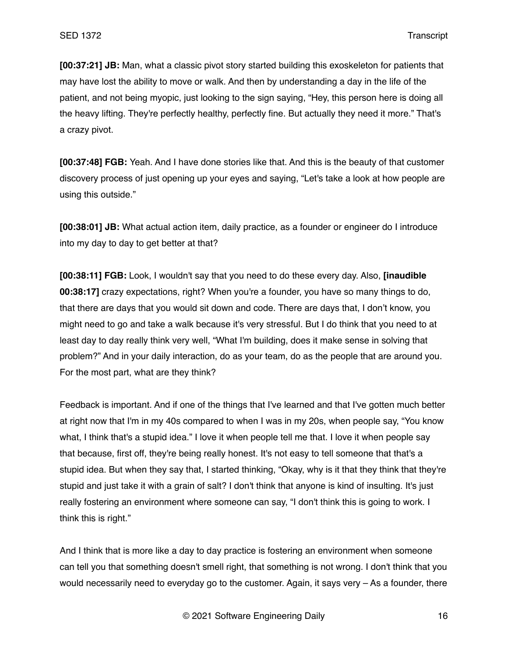**[00:37:21] JB:** Man, what a classic pivot story started building this exoskeleton for patients that may have lost the ability to move or walk. And then by understanding a day in the life of the patient, and not being myopic, just looking to the sign saying, "Hey, this person here is doing all the heavy lifting. They're perfectly healthy, perfectly fine. But actually they need it more." That's a crazy pivot.

**[00:37:48] FGB:** Yeah. And I have done stories like that. And this is the beauty of that customer discovery process of just opening up your eyes and saying, "Let's take a look at how people are using this outside."

**[00:38:01] JB:** What actual action item, daily practice, as a founder or engineer do I introduce into my day to day to get better at that?

**[00:38:11] FGB:** Look, I wouldn't say that you need to do these every day. Also, **[inaudible 00:38:17]** crazy expectations, right? When you're a founder, you have so many things to do, that there are days that you would sit down and code. There are days that, I don't know, you might need to go and take a walk because it's very stressful. But I do think that you need to at least day to day really think very well, "What I'm building, does it make sense in solving that problem?" And in your daily interaction, do as your team, do as the people that are around you. For the most part, what are they think?

Feedback is important. And if one of the things that I've learned and that I've gotten much better at right now that I'm in my 40s compared to when I was in my 20s, when people say, "You know what, I think that's a stupid idea." I love it when people tell me that. I love it when people say that because, first off, they're being really honest. It's not easy to tell someone that that's a stupid idea. But when they say that, I started thinking, "Okay, why is it that they think that they're stupid and just take it with a grain of salt? I don't think that anyone is kind of insulting. It's just really fostering an environment where someone can say, "I don't think this is going to work. I think this is right."

And I think that is more like a day to day practice is fostering an environment when someone can tell you that something doesn't smell right, that something is not wrong. I don't think that you would necessarily need to everyday go to the customer. Again, it says very – As a founder, there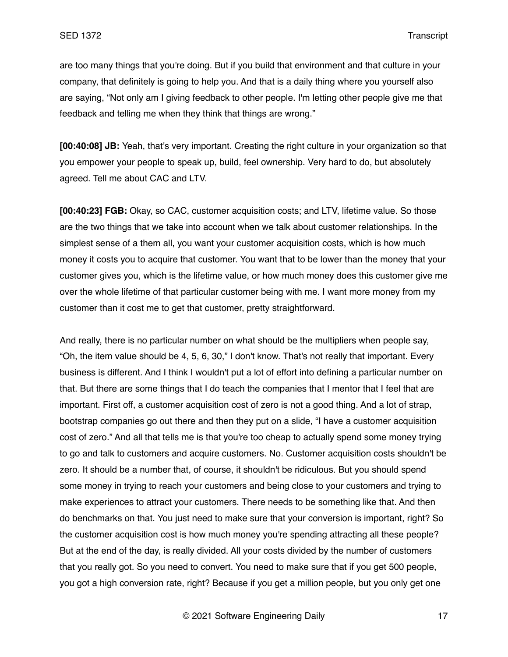are too many things that you're doing. But if you build that environment and that culture in your company, that definitely is going to help you. And that is a daily thing where you yourself also are saying, "Not only am I giving feedback to other people. I'm letting other people give me that feedback and telling me when they think that things are wrong."

**[00:40:08] JB:** Yeah, that's very important. Creating the right culture in your organization so that you empower your people to speak up, build, feel ownership. Very hard to do, but absolutely agreed. Tell me about CAC and LTV.

**[00:40:23] FGB:** Okay, so CAC, customer acquisition costs; and LTV, lifetime value. So those are the two things that we take into account when we talk about customer relationships. In the simplest sense of a them all, you want your customer acquisition costs, which is how much money it costs you to acquire that customer. You want that to be lower than the money that your customer gives you, which is the lifetime value, or how much money does this customer give me over the whole lifetime of that particular customer being with me. I want more money from my customer than it cost me to get that customer, pretty straightforward.

And really, there is no particular number on what should be the multipliers when people say, "Oh, the item value should be 4, 5, 6, 30," I don't know. That's not really that important. Every business is different. And I think I wouldn't put a lot of effort into defining a particular number on that. But there are some things that I do teach the companies that I mentor that I feel that are important. First off, a customer acquisition cost of zero is not a good thing. And a lot of strap, bootstrap companies go out there and then they put on a slide, "I have a customer acquisition cost of zero." And all that tells me is that you're too cheap to actually spend some money trying to go and talk to customers and acquire customers. No. Customer acquisition costs shouldn't be zero. It should be a number that, of course, it shouldn't be ridiculous. But you should spend some money in trying to reach your customers and being close to your customers and trying to make experiences to attract your customers. There needs to be something like that. And then do benchmarks on that. You just need to make sure that your conversion is important, right? So the customer acquisition cost is how much money you're spending attracting all these people? But at the end of the day, is really divided. All your costs divided by the number of customers that you really got. So you need to convert. You need to make sure that if you get 500 people, you got a high conversion rate, right? Because if you get a million people, but you only get one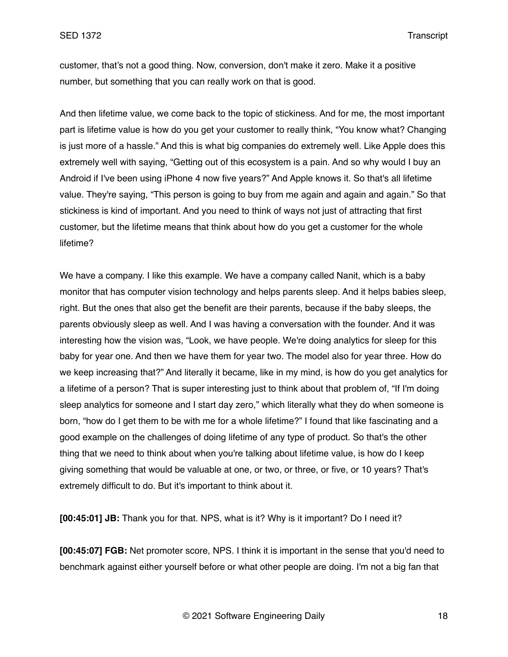customer, that's not a good thing. Now, conversion, don't make it zero. Make it a positive number, but something that you can really work on that is good.

And then lifetime value, we come back to the topic of stickiness. And for me, the most important part is lifetime value is how do you get your customer to really think, "You know what? Changing is just more of a hassle." And this is what big companies do extremely well. Like Apple does this extremely well with saying, "Getting out of this ecosystem is a pain. And so why would I buy an Android if I've been using iPhone 4 now five years?" And Apple knows it. So that's all lifetime value. They're saying, "This person is going to buy from me again and again and again." So that stickiness is kind of important. And you need to think of ways not just of attracting that first customer, but the lifetime means that think about how do you get a customer for the whole lifetime?

We have a company. I like this example. We have a company called Nanit, which is a baby monitor that has computer vision technology and helps parents sleep. And it helps babies sleep, right. But the ones that also get the benefit are their parents, because if the baby sleeps, the parents obviously sleep as well. And I was having a conversation with the founder. And it was interesting how the vision was, "Look, we have people. We're doing analytics for sleep for this baby for year one. And then we have them for year two. The model also for year three. How do we keep increasing that?" And literally it became, like in my mind, is how do you get analytics for a lifetime of a person? That is super interesting just to think about that problem of, "If I'm doing sleep analytics for someone and I start day zero," which literally what they do when someone is born, "how do I get them to be with me for a whole lifetime?" I found that like fascinating and a good example on the challenges of doing lifetime of any type of product. So that's the other thing that we need to think about when you're talking about lifetime value, is how do I keep giving something that would be valuable at one, or two, or three, or five, or 10 years? That's extremely difficult to do. But it's important to think about it.

**[00:45:01] JB:** Thank you for that. NPS, what is it? Why is it important? Do I need it?

**[00:45:07] FGB:** Net promoter score, NPS. I think it is important in the sense that you'd need to benchmark against either yourself before or what other people are doing. I'm not a big fan that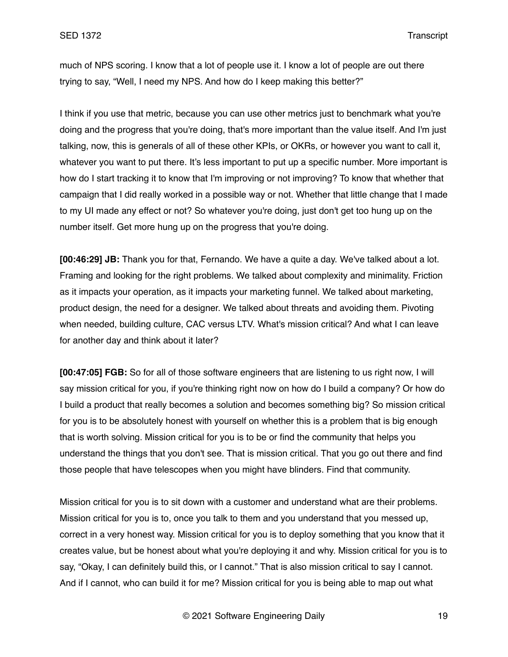much of NPS scoring. I know that a lot of people use it. I know a lot of people are out there trying to say, "Well, I need my NPS. And how do I keep making this better?"

I think if you use that metric, because you can use other metrics just to benchmark what you're doing and the progress that you're doing, that's more important than the value itself. And I'm just talking, now, this is generals of all of these other KPIs, or OKRs, or however you want to call it, whatever you want to put there. It's less important to put up a specific number. More important is how do I start tracking it to know that I'm improving or not improving? To know that whether that campaign that I did really worked in a possible way or not. Whether that little change that I made to my UI made any effect or not? So whatever you're doing, just don't get too hung up on the number itself. Get more hung up on the progress that you're doing.

**[00:46:29] JB:** Thank you for that, Fernando. We have a quite a day. We've talked about a lot. Framing and looking for the right problems. We talked about complexity and minimality. Friction as it impacts your operation, as it impacts your marketing funnel. We talked about marketing, product design, the need for a designer. We talked about threats and avoiding them. Pivoting when needed, building culture, CAC versus LTV. What's mission critical? And what I can leave for another day and think about it later?

**[00:47:05] FGB:** So for all of those software engineers that are listening to us right now, I will say mission critical for you, if you're thinking right now on how do I build a company? Or how do I build a product that really becomes a solution and becomes something big? So mission critical for you is to be absolutely honest with yourself on whether this is a problem that is big enough that is worth solving. Mission critical for you is to be or find the community that helps you understand the things that you don't see. That is mission critical. That you go out there and find those people that have telescopes when you might have blinders. Find that community.

Mission critical for you is to sit down with a customer and understand what are their problems. Mission critical for you is to, once you talk to them and you understand that you messed up, correct in a very honest way. Mission critical for you is to deploy something that you know that it creates value, but be honest about what you're deploying it and why. Mission critical for you is to say, "Okay, I can definitely build this, or I cannot." That is also mission critical to say I cannot. And if I cannot, who can build it for me? Mission critical for you is being able to map out what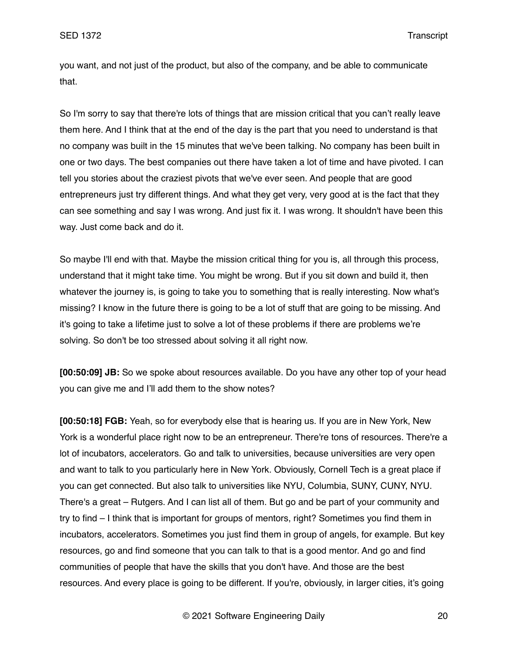you want, and not just of the product, but also of the company, and be able to communicate that.

So I'm sorry to say that there're lots of things that are mission critical that you can't really leave them here. And I think that at the end of the day is the part that you need to understand is that no company was built in the 15 minutes that we've been talking. No company has been built in one or two days. The best companies out there have taken a lot of time and have pivoted. I can tell you stories about the craziest pivots that we've ever seen. And people that are good entrepreneurs just try different things. And what they get very, very good at is the fact that they can see something and say I was wrong. And just fix it. I was wrong. It shouldn't have been this way. Just come back and do it.

So maybe I'll end with that. Maybe the mission critical thing for you is, all through this process, understand that it might take time. You might be wrong. But if you sit down and build it, then whatever the journey is, is going to take you to something that is really interesting. Now what's missing? I know in the future there is going to be a lot of stuff that are going to be missing. And it's going to take a lifetime just to solve a lot of these problems if there are problems we're solving. So don't be too stressed about solving it all right now.

**[00:50:09] JB:** So we spoke about resources available. Do you have any other top of your head you can give me and I'll add them to the show notes?

**[00:50:18] FGB:** Yeah, so for everybody else that is hearing us. If you are in New York, New York is a wonderful place right now to be an entrepreneur. There're tons of resources. There're a lot of incubators, accelerators. Go and talk to universities, because universities are very open and want to talk to you particularly here in New York. Obviously, Cornell Tech is a great place if you can get connected. But also talk to universities like NYU, Columbia, SUNY, CUNY, NYU. There's a great – Rutgers. And I can list all of them. But go and be part of your community and try to find – I think that is important for groups of mentors, right? Sometimes you find them in incubators, accelerators. Sometimes you just find them in group of angels, for example. But key resources, go and find someone that you can talk to that is a good mentor. And go and find communities of people that have the skills that you don't have. And those are the best resources. And every place is going to be different. If you're, obviously, in larger cities, it's going